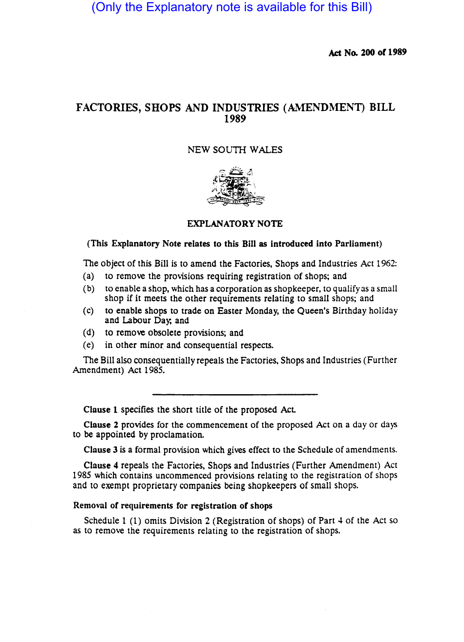(Only the Explanatory note is available for this Bill)

Act No. 200 of 1989

# FACTORIES, SHOPS AND INDUSTRIES (AMENDMENT) BILL 1989

# NEW SOUTH WALES



# EXPLANATORY NOTE

### (This Explanatory Note relates to this Bill as introduced into Parliament)

The Object of this Bill is to amend the Factories, Shops and Industries Act 1962:

- (a) to remove the provisions requiring registration of shops; and
- (b) to enable a shop, which has a corporation as shopkeeper, to qualify as a small shop if it meets the other requirements relating to small shops; and
- (c) to enable shops to trade on Easter Monday, the Queen's Birthday holiday and Labour Day; and
- (d) to remove obsolete provisions; and
- (e) in other minor. and consequential respects.

The Bill also consequentially repeals the Factories, Shops and Industries (Further Amendment) Act 1985.

Clause 1 specifies the short title of the proposed Act.

Clause 2 provides for the commencement of the proposed Act on a day or days to be appointed by proclamation.

Clause 3 is a formal provision which gives effect to the Schedule of amendments.

Clause 4 repeals the Factories, Shops and Industries (Further Amendment) Act 1985 which contains uncommenced provisions relating to the registration of shops and to exempt proprietary companies being shopkeepers of small shops.

### Removal of requirements for registration of shops

Schedule 1 (1) omits Division 2 (Registration of shops) of Part 4 of the Act so as to remove the requirements relating to the registration of shops.